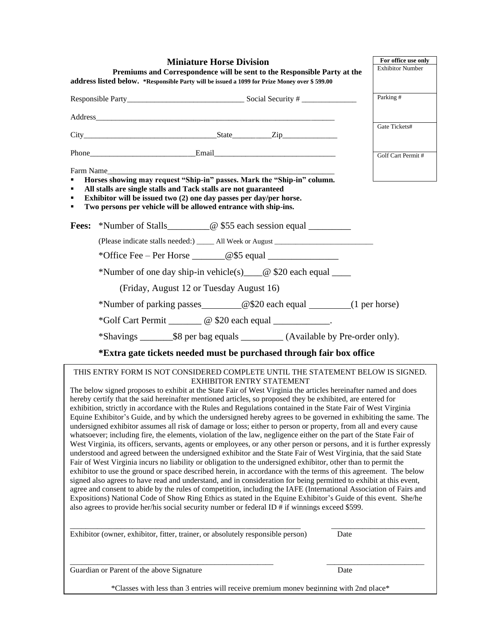|             | <b>Miniature Horse Division</b>                                                                                                                                                                                                                                                                                                                                                                                                                                                                                                                                                                                                                                                                                                                                                                                                                                                                                                                                                                                                                                                                                                                                                                                                                                                                                                                                                                                                                                                                                                                                                                                                                                                                                                                                                                                                                                                       | For office use only     |
|-------------|---------------------------------------------------------------------------------------------------------------------------------------------------------------------------------------------------------------------------------------------------------------------------------------------------------------------------------------------------------------------------------------------------------------------------------------------------------------------------------------------------------------------------------------------------------------------------------------------------------------------------------------------------------------------------------------------------------------------------------------------------------------------------------------------------------------------------------------------------------------------------------------------------------------------------------------------------------------------------------------------------------------------------------------------------------------------------------------------------------------------------------------------------------------------------------------------------------------------------------------------------------------------------------------------------------------------------------------------------------------------------------------------------------------------------------------------------------------------------------------------------------------------------------------------------------------------------------------------------------------------------------------------------------------------------------------------------------------------------------------------------------------------------------------------------------------------------------------------------------------------------------------|-------------------------|
|             | Premiums and Correspondence will be sent to the Responsible Party at the                                                                                                                                                                                                                                                                                                                                                                                                                                                                                                                                                                                                                                                                                                                                                                                                                                                                                                                                                                                                                                                                                                                                                                                                                                                                                                                                                                                                                                                                                                                                                                                                                                                                                                                                                                                                              | <b>Exhibitor Number</b> |
|             | address listed below. *Responsible Party will be issued a 1099 for Prize Money over \$599.00                                                                                                                                                                                                                                                                                                                                                                                                                                                                                                                                                                                                                                                                                                                                                                                                                                                                                                                                                                                                                                                                                                                                                                                                                                                                                                                                                                                                                                                                                                                                                                                                                                                                                                                                                                                          |                         |
|             |                                                                                                                                                                                                                                                                                                                                                                                                                                                                                                                                                                                                                                                                                                                                                                                                                                                                                                                                                                                                                                                                                                                                                                                                                                                                                                                                                                                                                                                                                                                                                                                                                                                                                                                                                                                                                                                                                       | Parking #               |
|             |                                                                                                                                                                                                                                                                                                                                                                                                                                                                                                                                                                                                                                                                                                                                                                                                                                                                                                                                                                                                                                                                                                                                                                                                                                                                                                                                                                                                                                                                                                                                                                                                                                                                                                                                                                                                                                                                                       |                         |
|             |                                                                                                                                                                                                                                                                                                                                                                                                                                                                                                                                                                                                                                                                                                                                                                                                                                                                                                                                                                                                                                                                                                                                                                                                                                                                                                                                                                                                                                                                                                                                                                                                                                                                                                                                                                                                                                                                                       | Gate Tickets#           |
|             |                                                                                                                                                                                                                                                                                                                                                                                                                                                                                                                                                                                                                                                                                                                                                                                                                                                                                                                                                                                                                                                                                                                                                                                                                                                                                                                                                                                                                                                                                                                                                                                                                                                                                                                                                                                                                                                                                       |                         |
|             |                                                                                                                                                                                                                                                                                                                                                                                                                                                                                                                                                                                                                                                                                                                                                                                                                                                                                                                                                                                                                                                                                                                                                                                                                                                                                                                                                                                                                                                                                                                                                                                                                                                                                                                                                                                                                                                                                       | Golf Cart Permit #      |
|             | Farm Name                                                                                                                                                                                                                                                                                                                                                                                                                                                                                                                                                                                                                                                                                                                                                                                                                                                                                                                                                                                                                                                                                                                                                                                                                                                                                                                                                                                                                                                                                                                                                                                                                                                                                                                                                                                                                                                                             |                         |
| ٠<br>٠<br>٠ | Horses showing may request "Ship-in" passes. Mark the "Ship-in" column.<br>All stalls are single stalls and Tack stalls are not guaranteed<br>Exhibitor will be issued two (2) one day passes per day/per horse.<br>Two persons per vehicle will be allowed entrance with ship-ins.                                                                                                                                                                                                                                                                                                                                                                                                                                                                                                                                                                                                                                                                                                                                                                                                                                                                                                                                                                                                                                                                                                                                                                                                                                                                                                                                                                                                                                                                                                                                                                                                   |                         |
|             | <b>Fees:</b> *Number of Stalls___________@ \$55 each session equal _____________________                                                                                                                                                                                                                                                                                                                                                                                                                                                                                                                                                                                                                                                                                                                                                                                                                                                                                                                                                                                                                                                                                                                                                                                                                                                                                                                                                                                                                                                                                                                                                                                                                                                                                                                                                                                              |                         |
|             | (Please indicate stalls needed:) ______ All Week or August ______________________                                                                                                                                                                                                                                                                                                                                                                                                                                                                                                                                                                                                                                                                                                                                                                                                                                                                                                                                                                                                                                                                                                                                                                                                                                                                                                                                                                                                                                                                                                                                                                                                                                                                                                                                                                                                     |                         |
|             | $*$ Office Fee – Per Horse $\_\_\_\_$ @\$5 equal $\_\_\_\_\_\_\_\_\_\_\_\_\_\_\_\_\_\_\_\_\_\_$                                                                                                                                                                                                                                                                                                                                                                                                                                                                                                                                                                                                                                                                                                                                                                                                                                                                                                                                                                                                                                                                                                                                                                                                                                                                                                                                                                                                                                                                                                                                                                                                                                                                                                                                                                                       |                         |
|             | *Number of one day ship-in vehicle(s) ____@ \$20 each equal ____                                                                                                                                                                                                                                                                                                                                                                                                                                                                                                                                                                                                                                                                                                                                                                                                                                                                                                                                                                                                                                                                                                                                                                                                                                                                                                                                                                                                                                                                                                                                                                                                                                                                                                                                                                                                                      |                         |
|             | (Friday, August 12 or Tuesday August 16)                                                                                                                                                                                                                                                                                                                                                                                                                                                                                                                                                                                                                                                                                                                                                                                                                                                                                                                                                                                                                                                                                                                                                                                                                                                                                                                                                                                                                                                                                                                                                                                                                                                                                                                                                                                                                                              |                         |
|             | *Number of parking passes _________@\$20 each equal _________(1 per horse)                                                                                                                                                                                                                                                                                                                                                                                                                                                                                                                                                                                                                                                                                                                                                                                                                                                                                                                                                                                                                                                                                                                                                                                                                                                                                                                                                                                                                                                                                                                                                                                                                                                                                                                                                                                                            |                         |
|             | *Golf Cart Permit _________ @ \$20 each equal _____________.                                                                                                                                                                                                                                                                                                                                                                                                                                                                                                                                                                                                                                                                                                                                                                                                                                                                                                                                                                                                                                                                                                                                                                                                                                                                                                                                                                                                                                                                                                                                                                                                                                                                                                                                                                                                                          |                         |
|             |                                                                                                                                                                                                                                                                                                                                                                                                                                                                                                                                                                                                                                                                                                                                                                                                                                                                                                                                                                                                                                                                                                                                                                                                                                                                                                                                                                                                                                                                                                                                                                                                                                                                                                                                                                                                                                                                                       |                         |
|             | *Extra gate tickets needed must be purchased through fair box office                                                                                                                                                                                                                                                                                                                                                                                                                                                                                                                                                                                                                                                                                                                                                                                                                                                                                                                                                                                                                                                                                                                                                                                                                                                                                                                                                                                                                                                                                                                                                                                                                                                                                                                                                                                                                  |                         |
|             | THIS ENTRY FORM IS NOT CONSIDERED COMPLETE UNTIL THE STATEMENT BELOW IS SIGNED.<br><b>EXHIBITOR ENTRY STATEMENT</b><br>The below signed proposes to exhibit at the State Fair of West Virginia the articles hereinafter named and does<br>hereby certify that the said hereinafter mentioned articles, so proposed they be exhibited, are entered for<br>exhibition, strictly in accordance with the Rules and Regulations contained in the State Fair of West Virginia<br>Equine Exhibitor's Guide, and by which the undersigned hereby agrees to be governed in exhibiting the same. The<br>undersigned exhibitor assumes all risk of damage or loss; either to person or property, from all and every cause<br>whatsoever; including fire, the elements, violation of the law, negligence either on the part of the State Fair of<br>West Virginia, its officers, servants, agents or employees, or any other person or persons, and it is further expressly<br>understood and agreed between the undersigned exhibitor and the State Fair of West Virginia, that the said State<br>Fair of West Virginia incurs no liability or obligation to the undersigned exhibitor, other than to permit the<br>exhibitor to use the ground or space described herein, in accordance with the terms of this agreement. The below<br>signed also agrees to have read and understand, and in consideration for being permitted to exhibit at this event,<br>agree and consent to abide by the rules of competition, including the IAFE (International Association of Fairs and<br>Expositions) National Code of Show Ring Ethics as stated in the Equine Exhibitor's Guide of this event. She/he<br>also agrees to provide her/his social security number or federal ID # if winnings exceed \$599.<br>Exhibitor (owner, exhibitor, fitter, trainer, or absolutely responsible person)<br>Date |                         |
|             |                                                                                                                                                                                                                                                                                                                                                                                                                                                                                                                                                                                                                                                                                                                                                                                                                                                                                                                                                                                                                                                                                                                                                                                                                                                                                                                                                                                                                                                                                                                                                                                                                                                                                                                                                                                                                                                                                       |                         |
|             | Guardian or Parent of the above Signature<br>Date                                                                                                                                                                                                                                                                                                                                                                                                                                                                                                                                                                                                                                                                                                                                                                                                                                                                                                                                                                                                                                                                                                                                                                                                                                                                                                                                                                                                                                                                                                                                                                                                                                                                                                                                                                                                                                     |                         |
|             | $^*$ Classes with less than 3 entries will receive premium money beginning with 2nd place*                                                                                                                                                                                                                                                                                                                                                                                                                                                                                                                                                                                                                                                                                                                                                                                                                                                                                                                                                                                                                                                                                                                                                                                                                                                                                                                                                                                                                                                                                                                                                                                                                                                                                                                                                                                            |                         |

es with less than 3 entries will receive premium money beginning with 2nd place